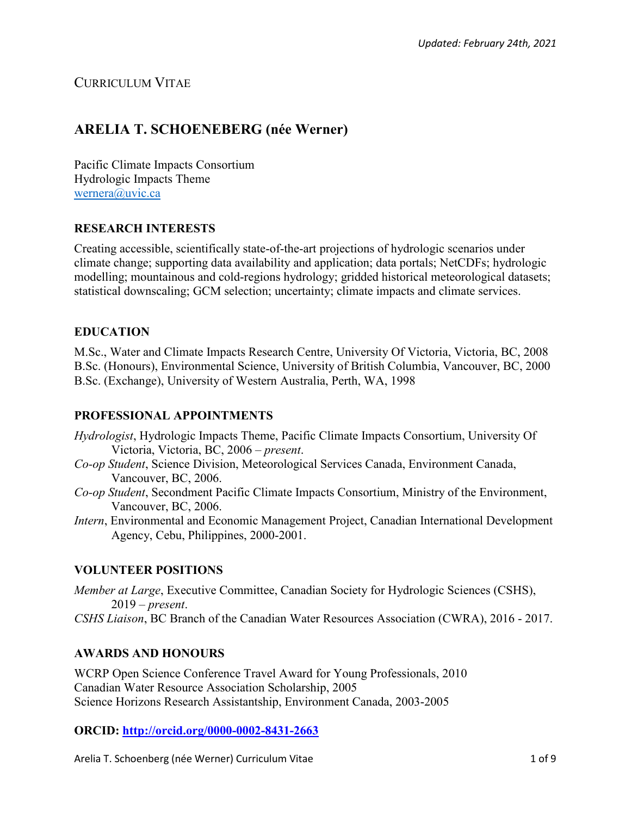# CURRICULUM VITAE

# **ARELIA T. SCHOENEBERG (née Werner)**

Pacific Climate Impacts Consortium Hydrologic Impacts Theme [wernera@uvic.ca](mailto:wernera@uvic.ca)

## **RESEARCH INTERESTS**

Creating accessible, scientifically state-of-the-art projections of hydrologic scenarios under climate change; supporting data availability and application; data portals; NetCDFs; hydrologic modelling; mountainous and cold-regions hydrology; gridded historical meteorological datasets; statistical downscaling; GCM selection; uncertainty; climate impacts and climate services.

## **EDUCATION**

M.Sc., Water and Climate Impacts Research Centre, University Of Victoria, Victoria, BC, 2008 B.Sc. (Honours), Environmental Science, University of British Columbia, Vancouver, BC, 2000 B.Sc. (Exchange), University of Western Australia, Perth, WA, 1998

## **PROFESSIONAL APPOINTMENTS**

- *Hydrologist*, Hydrologic Impacts Theme, Pacific Climate Impacts Consortium, University Of Victoria, Victoria, BC, 2006 – *present*.
- *Co-op Student*, Science Division, Meteorological Services Canada, Environment Canada, Vancouver, BC, 2006.
- *Co-op Student*, Secondment Pacific Climate Impacts Consortium, Ministry of the Environment, Vancouver, BC, 2006.
- *Intern*, Environmental and Economic Management Project, Canadian International Development Agency, Cebu, Philippines, 2000-2001.

## **VOLUNTEER POSITIONS**

*Member at Large*, Executive Committee, Canadian Society for Hydrologic Sciences (CSHS), 2019 – *present*.

*CSHS Liaison*, BC Branch of the Canadian Water Resources Association (CWRA), 2016 - 2017.

## **AWARDS AND HONOURS**

WCRP Open Science Conference Travel Award for Young Professionals, 2010 Canadian Water Resource Association Scholarship, 2005 Science Horizons Research Assistantship, Environment Canada, 2003-2005

## **ORCID:<http://orcid.org/0000-0002-8431-2663>**

Arelia T. Schoenberg (née Werner) Curriculum Vitae 1 of 9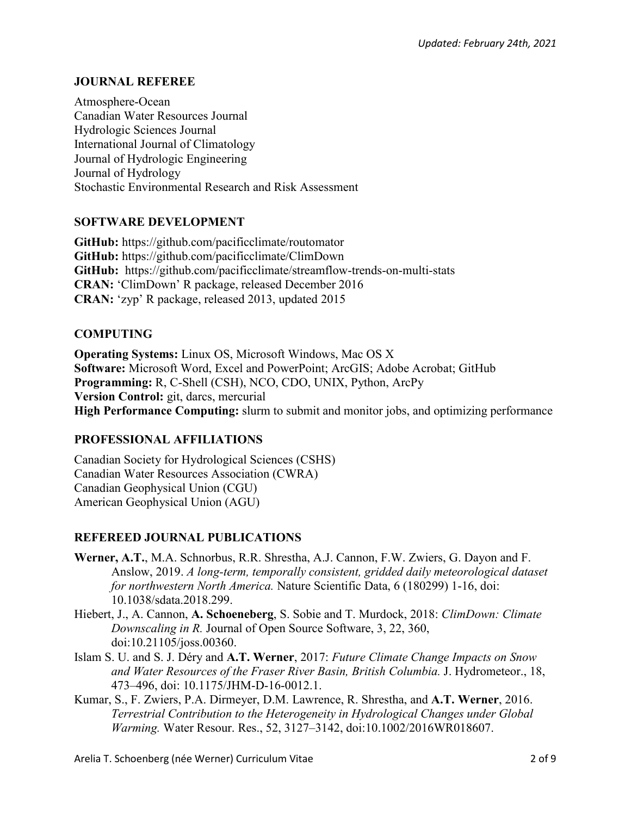## **JOURNAL REFEREE**

Atmosphere-Ocean Canadian Water Resources Journal Hydrologic Sciences Journal International Journal of Climatology Journal of Hydrologic Engineering Journal of Hydrology Stochastic Environmental Research and Risk Assessment

## **SOFTWARE DEVELOPMENT**

**GitHub:** https://github.com/pacificclimate/routomator **GitHub:** https://github.com/pacificclimate/ClimDown **GitHub:** https://github.com/pacificclimate/streamflow-trends-on-multi-stats **CRAN:** 'ClimDown' R package, released December 2016 **CRAN:** 'zyp' R package, released 2013, updated 2015

## **COMPUTING**

**Operating Systems:** Linux OS, Microsoft Windows, Mac OS X **Software:** Microsoft Word, Excel and PowerPoint; ArcGIS; Adobe Acrobat; GitHub **Programming:** R, C-Shell (CSH), NCO, CDO, UNIX, Python, ArcPy **Version Control:** git, darcs, mercurial **High Performance Computing:** slurm to submit and monitor jobs, and optimizing performance

## **PROFESSIONAL AFFILIATIONS**

Canadian Society for Hydrological Sciences (CSHS) Canadian Water Resources Association (CWRA) Canadian Geophysical Union (CGU) American Geophysical Union (AGU)

## **REFEREED JOURNAL PUBLICATIONS**

- **Werner, A.T.**, M.A. Schnorbus, R.R. Shrestha, A.J. Cannon, F.W. Zwiers, G. Dayon and F. Anslow, 2019. *A long-term, temporally consistent, gridded daily meteorological dataset for northwestern North America.* Nature Scientific Data, 6 (180299) 1-16, doi: 10.1038/sdata.2018.299.
- Hiebert, J., A. Cannon, **A. Schoeneberg**, S. Sobie and T. Murdock, 2018: *ClimDown: Climate Downscaling in R.* Journal of Open Source Software, 3, 22, 360, doi:10.21105/joss.00360.
- Islam S. U. and S. J. Déry and **A.T. Werner**, 2017: *Future Climate Change Impacts on Snow and Water Resources of the Fraser River Basin, British Columbia.* J. Hydrometeor., 18, 473–496, doi: 10.1175/JHM-D-16-0012.1.
- Kumar, S., F. Zwiers, P.A. Dirmeyer, D.M. Lawrence, R. Shrestha, and **A.T. Werner**, 2016. *Terrestrial Contribution to the Heterogeneity in Hydrological Changes under Global Warming.* Water Resour. Res., 52, 3127–3142, doi:10.1002/2016WR018607.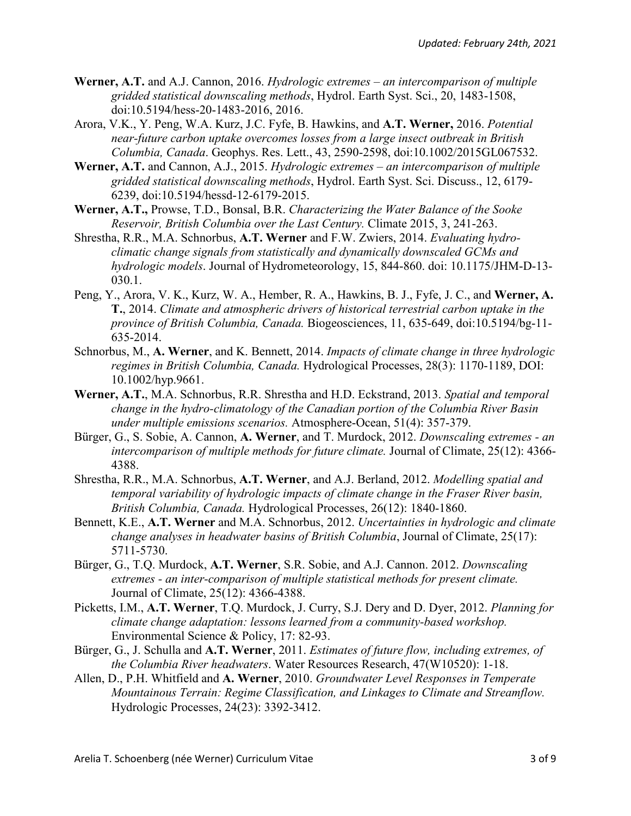- **Werner, A.T.** and A.J. Cannon, 2016. *Hydrologic extremes – an intercomparison of multiple gridded statistical downscaling methods*, Hydrol. Earth Syst. Sci., 20, 1483-1508, doi:10.5194/hess-20-1483-2016, 2016.
- Arora, V.K., Y. Peng, W.A. Kurz, J.C. Fyfe, B. Hawkins, and **A.T. Werner,** 2016. *Potential near-future carbon uptake overcomes losses from a large insect outbreak in British Columbia, Canada*. Geophys. Res. Lett., 43, 2590-2598, doi:10.1002/2015GL067532.
- **Werner, A.T.** and Cannon, A.J., 2015. *Hydrologic extremes – an intercomparison of multiple gridded statistical downscaling methods*, Hydrol. Earth Syst. Sci. Discuss., 12, 6179- 6239, doi:10.5194/hessd-12-6179-2015.
- **Werner, A.T.,** Prowse, T.D., Bonsal, B.R. *Characterizing the Water Balance of the Sooke Reservoir, British Columbia over the Last Century.* Climate 2015, 3, 241-263.
- Shrestha, R.R., M.A. Schnorbus, **A.T. Werner** and F.W. Zwiers, 2014. *Evaluating hydroclimatic change signals from statistically and dynamically downscaled GCMs and hydrologic models*. Journal of Hydrometeorology, 15, 844-860. doi: 10.1175/JHM-D-13- 030.1.
- Peng, Y., Arora, V. K., Kurz, W. A., Hember, R. A., Hawkins, B. J., Fyfe, J. C., and **Werner, A. T.**, 2014. *Climate and atmospheric drivers of historical terrestrial carbon uptake in the province of British Columbia, Canada.* Biogeosciences, 11, 635-649, doi:10.5194/bg-11- 635-2014.
- Schnorbus, M., **A. Werner**, and K. Bennett, 2014. *Impacts of climate change in three hydrologic regimes in British Columbia, Canada.* Hydrological Processes, 28(3): 1170-1189, DOI: 10.1002/hyp.9661.
- **Werner, A.T.**, M.A. Schnorbus, R.R. Shrestha and H.D. Eckstrand, 2013. *Spatial and temporal change in the hydro-climatology of the Canadian portion of the Columbia River Basin under multiple emissions scenarios.* Atmosphere-Ocean, 51(4): 357-379.
- Bürger, G., S. Sobie, A. Cannon, **A. Werner**, and T. Murdock, 2012. *Downscaling extremes - an intercomparison of multiple methods for future climate.* Journal of Climate, 25(12): 4366- 4388.
- Shrestha, R.R., M.A. Schnorbus, **A.T. Werner**, and A.J. Berland, 2012. *Modelling spatial and temporal variability of hydrologic impacts of climate change in the Fraser River basin, British Columbia, Canada.* Hydrological Processes, 26(12): 1840-1860.
- Bennett, K.E., **A.T. Werner** and M.A. Schnorbus, 2012. *Uncertainties in hydrologic and climate change analyses in headwater basins of British Columbia*, Journal of Climate, 25(17): 5711-5730.
- Bürger, G., T.Q. Murdock, **A.T. Werner**, S.R. Sobie, and A.J. Cannon. 2012. *Downscaling extremes - an inter-comparison of multiple statistical methods for present climate.* Journal of Climate, 25(12): 4366-4388.
- Picketts, I.M., **A.T. Werner**, T.Q. Murdock, J. Curry, S.J. Dery and D. Dyer, 2012. *Planning for climate change adaptation: lessons learned from a community-based workshop.* Environmental Science & Policy, 17: 82-93.
- Bürger, G., J. Schulla and **A.T. Werner**, 2011. *Estimates of future flow, including extremes, of the Columbia River headwaters*. Water Resources Research, 47(W10520): 1-18.
- Allen, D., P.H. Whitfield and **A. Werner**, 2010. *Groundwater Level Responses in Temperate Mountainous Terrain: Regime Classification, and Linkages to Climate and Streamflow.* Hydrologic Processes, 24(23): 3392-3412.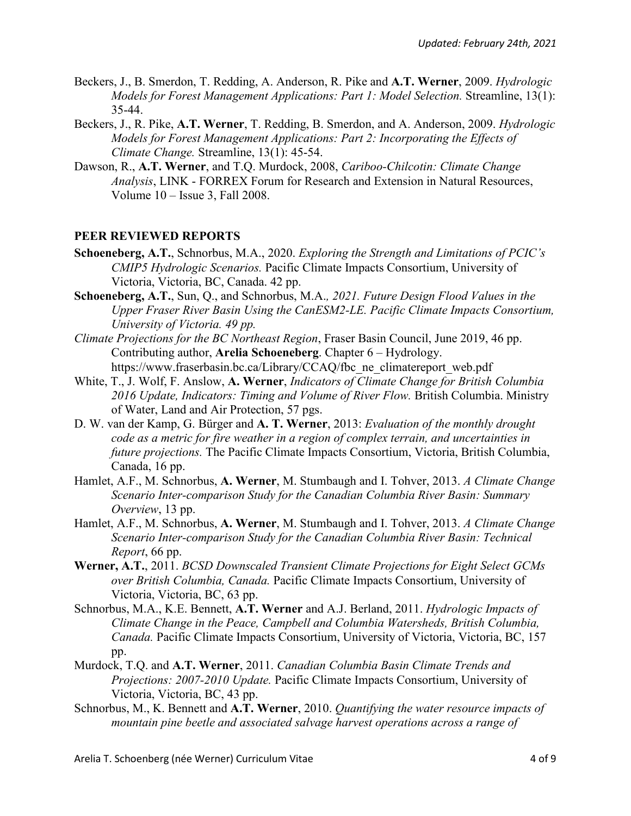- Beckers, J., B. Smerdon, T. Redding, A. Anderson, R. Pike and **A.T. Werner**, 2009. *Hydrologic Models for Forest Management Applications: Part 1: Model Selection.* Streamline, 13(1): 35-44.
- Beckers, J., R. Pike, **A.T. Werner**, T. Redding, B. Smerdon, and A. Anderson, 2009. *Hydrologic Models for Forest Management Applications: Part 2: Incorporating the Effects of Climate Change.* Streamline, 13(1): 45-54.
- Dawson, R., **A.T. Werner**, and T.Q. Murdock, 2008, *Cariboo-Chilcotin: Climate Change Analysis*, LINK - FORREX Forum for Research and Extension in Natural Resources, Volume 10 – Issue 3, Fall 2008.

#### **PEER REVIEWED REPORTS**

- **Schoeneberg, A.T.**, Schnorbus, M.A., 2020. *Exploring the Strength and Limitations of PCIC's CMIP5 Hydrologic Scenarios.* Pacific Climate Impacts Consortium, University of Victoria, Victoria, BC, Canada. 42 pp.
- **Schoeneberg, A.T.**, Sun, Q., and Schnorbus, M.A.*, 2021. Future Design Flood Values in the Upper Fraser River Basin Using the CanESM2-LE. Pacific Climate Impacts Consortium, University of Victoria. 49 pp.*
- *Climate Projections for the BC Northeast Region*, Fraser Basin Council, June 2019, 46 pp. Contributing author, **Arelia Schoeneberg**. Chapter 6 – Hydrology. https://www.fraserbasin.bc.ca/Library/CCAQ/fbc\_ne\_climatereport\_web.pdf
- White, T., J. Wolf, F. Anslow, **A. Werner**, *Indicators of Climate Change for British Columbia 2016 Update, Indicators: Timing and Volume of River Flow.* British Columbia. Ministry of Water, Land and Air Protection, 57 pgs.
- D. W. van der Kamp, G. Bürger and **A. T. Werner**, 2013: *Evaluation of the monthly drought code as a metric for fire weather in a region of complex terrain, and uncertainties in future projections.* The Pacific Climate Impacts Consortium, Victoria, British Columbia, Canada, 16 pp.
- Hamlet, A.F., M. Schnorbus, **A. Werner**, M. Stumbaugh and I. Tohver, 2013. *A Climate Change Scenario Inter-comparison Study for the Canadian Columbia River Basin: Summary Overview*, 13 pp.
- Hamlet, A.F., M. Schnorbus, **A. Werner**, M. Stumbaugh and I. Tohver, 2013. *A Climate Change Scenario Inter-comparison Study for the Canadian Columbia River Basin: Technical Report*, 66 pp.
- **Werner, A.T.**, 2011. *BCSD Downscaled Transient Climate Projections for Eight Select GCMs over British Columbia, Canada.* Pacific Climate Impacts Consortium, University of Victoria, Victoria, BC, 63 pp.
- Schnorbus, M.A., K.E. Bennett, **A.T. Werner** and A.J. Berland, 2011. *Hydrologic Impacts of Climate Change in the Peace, Campbell and Columbia Watersheds, British Columbia, Canada.* Pacific Climate Impacts Consortium, University of Victoria, Victoria, BC, 157 pp.
- Murdock, T.Q. and **A.T. Werner**, 2011. *Canadian Columbia Basin Climate Trends and Projections: 2007-2010 Update.* Pacific Climate Impacts Consortium, University of Victoria, Victoria, BC, 43 pp.
- Schnorbus, M., K. Bennett and **A.T. Werner**, 2010. *Quantifying the water resource impacts of mountain pine beetle and associated salvage harvest operations across a range of*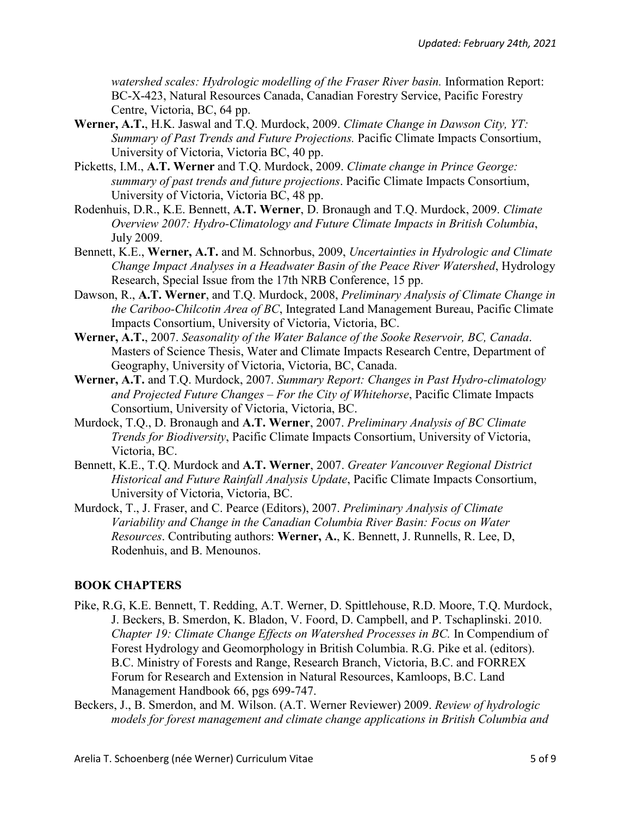*watershed scales: Hydrologic modelling of the Fraser River basin.* Information Report: BC-X-423, Natural Resources Canada, Canadian Forestry Service, Pacific Forestry Centre, Victoria, BC, 64 pp.

- **Werner, A.T.**, H.K. Jaswal and T.Q. Murdock, 2009. *Climate Change in Dawson City, YT: Summary of Past Trends and Future Projections.* Pacific Climate Impacts Consortium, University of Victoria, Victoria BC, 40 pp.
- Picketts, I.M., **A.T. Werner** and T.Q. Murdock, 2009. *Climate change in Prince George: summary of past trends and future projections*. Pacific Climate Impacts Consortium, University of Victoria, Victoria BC, 48 pp.
- Rodenhuis, D.R., K.E. Bennett, **A.T. Werner**, D. Bronaugh and T.Q. Murdock, 2009. *Climate Overview 2007: Hydro-Climatology and Future Climate Impacts in British Columbia*, July 2009.
- Bennett, K.E., **Werner, A.T.** and M. Schnorbus, 2009, *Uncertainties in Hydrologic and Climate Change Impact Analyses in a Headwater Basin of the Peace River Watershed*, Hydrology Research, Special Issue from the 17th NRB Conference, 15 pp.
- Dawson, R., **A.T. Werner**, and T.Q. Murdock, 2008, *Preliminary Analysis of Climate Change in the Cariboo-Chilcotin Area of BC*, Integrated Land Management Bureau, Pacific Climate Impacts Consortium, University of Victoria, Victoria, BC.
- **Werner, A.T.**, 2007. *Seasonality of the Water Balance of the Sooke Reservoir, BC, Canada*. Masters of Science Thesis, Water and Climate Impacts Research Centre, Department of Geography, University of Victoria, Victoria, BC, Canada.
- **Werner, A.T.** and T.Q. Murdock, 2007. *Summary Report: Changes in Past Hydro-climatology and Projected Future Changes – For the City of Whitehorse*, Pacific Climate Impacts Consortium, University of Victoria, Victoria, BC.
- Murdock, T.Q., D. Bronaugh and **A.T. Werner**, 2007. *Preliminary Analysis of BC Climate Trends for Biodiversity*, Pacific Climate Impacts Consortium, University of Victoria, Victoria, BC.
- Bennett, K.E., T.Q. Murdock and **A.T. Werner**, 2007. *Greater Vancouver Regional District Historical and Future Rainfall Analysis Update*, Pacific Climate Impacts Consortium, University of Victoria, Victoria, BC.
- Murdock, T., J. Fraser, and C. Pearce (Editors), 2007. *Preliminary Analysis of Climate Variability and Change in the Canadian Columbia River Basin: Focus on Water Resources*. Contributing authors: **Werner, A.**, K. Bennett, J. Runnells, R. Lee, D, Rodenhuis, and B. Menounos.

# **BOOK CHAPTERS**

- Pike, R.G, K.E. Bennett, T. Redding, A.T. Werner, D. Spittlehouse, R.D. Moore, T.Q. Murdock, J. Beckers, B. Smerdon, K. Bladon, V. Foord, D. Campbell, and P. Tschaplinski. 2010. *Chapter 19: Climate Change Effects on Watershed Processes in BC.* In Compendium of Forest Hydrology and Geomorphology in British Columbia. R.G. Pike et al. (editors). B.C. Ministry of Forests and Range, Research Branch, Victoria, B.C. and FORREX Forum for Research and Extension in Natural Resources, Kamloops, B.C. Land Management Handbook 66, pgs 699-747.
- Beckers, J., B. Smerdon, and M. Wilson. (A.T. Werner Reviewer) 2009. *Review of hydrologic models for forest management and climate change applications in British Columbia and*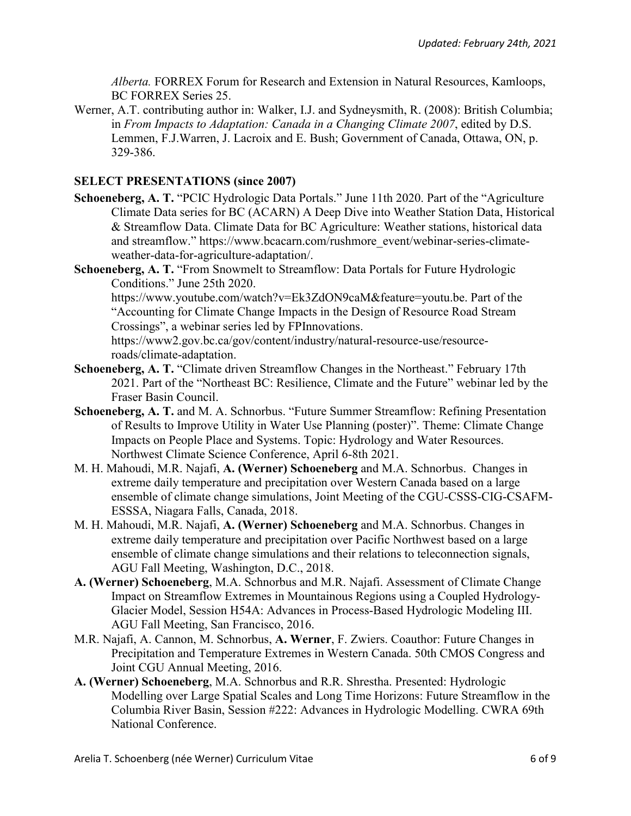*Alberta.* FORREX Forum for Research and Extension in Natural Resources, Kamloops, BC FORREX Series 25.

Werner, A.T. contributing author in: Walker, I.J. and Sydneysmith, R. (2008): British Columbia; in *From Impacts to Adaptation: Canada in a Changing Climate 2007*, edited by D.S. Lemmen, F.J.Warren, J. Lacroix and E. Bush; Government of Canada, Ottawa, ON, p. 329-386.

## **SELECT PRESENTATIONS (since 2007)**

- **Schoeneberg, A. T.** "PCIC Hydrologic Data Portals." June 11th 2020. Part of the "Agriculture Climate Data series for BC (ACARN) A Deep Dive into Weather Station Data, Historical & Streamflow Data. Climate Data for BC Agriculture: Weather stations, historical data and streamflow." https://www.bcacarn.com/rushmore\_event/webinar-series-climateweather-data-for-agriculture-adaptation/.
- **Schoeneberg, A. T.** "From Snowmelt to Streamflow: Data Portals for Future Hydrologic Conditions." June 25th 2020.

https://www.youtube.com/watch?v=Ek3ZdON9caM&feature=youtu.be. Part of the "Accounting for Climate Change Impacts in the Design of Resource Road Stream Crossings", a webinar series led by FPInnovations.

https://www2.gov.bc.ca/gov/content/industry/natural-resource-use/resourceroads/climate-adaptation.

- **Schoeneberg, A. T.** "Climate driven Streamflow Changes in the Northeast." February 17th 2021. Part of the "Northeast BC: Resilience, Climate and the Future" webinar led by the Fraser Basin Council.
- **Schoeneberg, A. T.** and M. A. Schnorbus. "Future Summer Streamflow: Refining Presentation of Results to Improve Utility in Water Use Planning (poster)". Theme: Climate Change Impacts on People Place and Systems. Topic: Hydrology and Water Resources. Northwest Climate Science Conference, April 6-8th 2021.
- M. H. Mahoudi, M.R. Najafi, **A. (Werner) Schoeneberg** and M.A. Schnorbus. Changes in extreme daily temperature and precipitation over Western Canada based on a large ensemble of climate change simulations, Joint Meeting of the CGU-CSSS-CIG-CSAFM-ESSSA, Niagara Falls, Canada, 2018.
- M. H. Mahoudi, M.R. Najafi, **A. (Werner) Schoeneberg** and M.A. Schnorbus. Changes in extreme daily temperature and precipitation over Pacific Northwest based on a large ensemble of climate change simulations and their relations to teleconnection signals, AGU Fall Meeting, Washington, D.C., 2018.
- **A. (Werner) Schoeneberg**, M.A. Schnorbus and M.R. Najafi. Assessment of Climate Change Impact on Streamflow Extremes in Mountainous Regions using a Coupled Hydrology-Glacier Model, Session H54A: Advances in Process-Based Hydrologic Modeling III. AGU Fall Meeting, San Francisco, 2016.
- M.R. Najafi, A. Cannon, M. Schnorbus, **A. Werner**, F. Zwiers. Coauthor: Future Changes in Precipitation and Temperature Extremes in Western Canada. 50th CMOS Congress and Joint CGU Annual Meeting, 2016.
- **A. (Werner) Schoeneberg**, M.A. Schnorbus and R.R. Shrestha. Presented: Hydrologic Modelling over Large Spatial Scales and Long Time Horizons: Future Streamflow in the Columbia River Basin, Session #222: Advances in Hydrologic Modelling. CWRA 69th National Conference.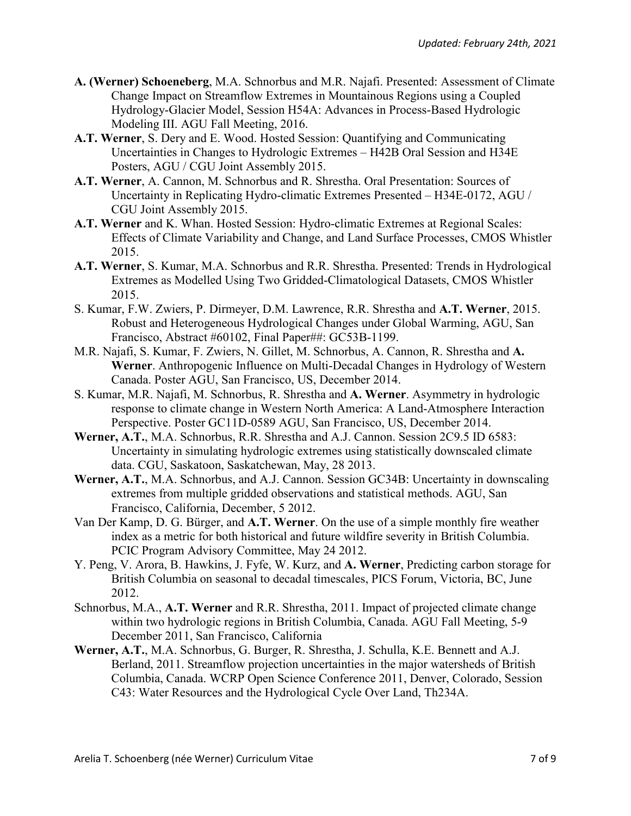- **A. (Werner) Schoeneberg**, M.A. Schnorbus and M.R. Najafi. Presented: Assessment of Climate Change Impact on Streamflow Extremes in Mountainous Regions using a Coupled Hydrology-Glacier Model, Session H54A: Advances in Process-Based Hydrologic Modeling III. AGU Fall Meeting, 2016.
- **A.T. Werner**, S. Dery and E. Wood. Hosted Session: Quantifying and Communicating Uncertainties in Changes to Hydrologic Extremes – H42B Oral Session and H34E Posters, AGU / CGU Joint Assembly 2015.
- **A.T. Werner**, A. Cannon, M. Schnorbus and R. Shrestha. Oral Presentation: Sources of Uncertainty in Replicating Hydro-climatic Extremes Presented – H34E-0172, AGU / CGU Joint Assembly 2015.
- **A.T. Werner** and K. Whan. Hosted Session: Hydro-climatic Extremes at Regional Scales: Effects of Climate Variability and Change, and Land Surface Processes, CMOS Whistler 2015.
- **A.T. Werner**, S. Kumar, M.A. Schnorbus and R.R. Shrestha. Presented: Trends in Hydrological Extremes as Modelled Using Two Gridded-Climatological Datasets, CMOS Whistler 2015.
- S. Kumar, F.W. Zwiers, P. Dirmeyer, D.M. Lawrence, R.R. Shrestha and **A.T. Werner**, 2015. Robust and Heterogeneous Hydrological Changes under Global Warming, AGU, San Francisco, Abstract #60102, Final Paper##: GC53B-1199.
- M.R. Najafi, S. Kumar, F. Zwiers, N. Gillet, M. Schnorbus, A. Cannon, R. Shrestha and **A. Werner**. Anthropogenic Influence on Multi-Decadal Changes in Hydrology of Western Canada. Poster AGU, San Francisco, US, December 2014.
- S. Kumar, M.R. Najafi, M. Schnorbus, R. Shrestha and **A. Werner**. Asymmetry in hydrologic response to climate change in Western North America: A Land-Atmosphere Interaction Perspective. Poster GC11D-0589 AGU, San Francisco, US, December 2014.
- **Werner, A.T.**, M.A. Schnorbus, R.R. Shrestha and A.J. Cannon. Session 2C9.5 ID 6583: Uncertainty in simulating hydrologic extremes using statistically downscaled climate data. CGU, Saskatoon, Saskatchewan, May, 28 2013.
- **Werner, A.T.**, M.A. Schnorbus, and A.J. Cannon. Session GC34B: Uncertainty in downscaling extremes from multiple gridded observations and statistical methods. AGU, San Francisco, California, December, 5 2012.
- Van Der Kamp, D. G. Bürger, and **A.T. Werner**. On the use of a simple monthly fire weather index as a metric for both historical and future wildfire severity in British Columbia. PCIC Program Advisory Committee, May 24 2012.
- Y. Peng, V. Arora, B. Hawkins, J. Fyfe, W. Kurz, and **A. Werner**, Predicting carbon storage for British Columbia on seasonal to decadal timescales, PICS Forum, Victoria, BC, June 2012.
- Schnorbus, M.A., **A.T. Werner** and R.R. Shrestha, 2011. Impact of projected climate change within two hydrologic regions in British Columbia, Canada. AGU Fall Meeting, 5-9 December 2011, San Francisco, California
- **Werner, A.T.**, M.A. Schnorbus, G. Burger, R. Shrestha, J. Schulla, K.E. Bennett and A.J. Berland, 2011. Streamflow projection uncertainties in the major watersheds of British Columbia, Canada. WCRP Open Science Conference 2011, Denver, Colorado, Session C43: Water Resources and the Hydrological Cycle Over Land, Th234A.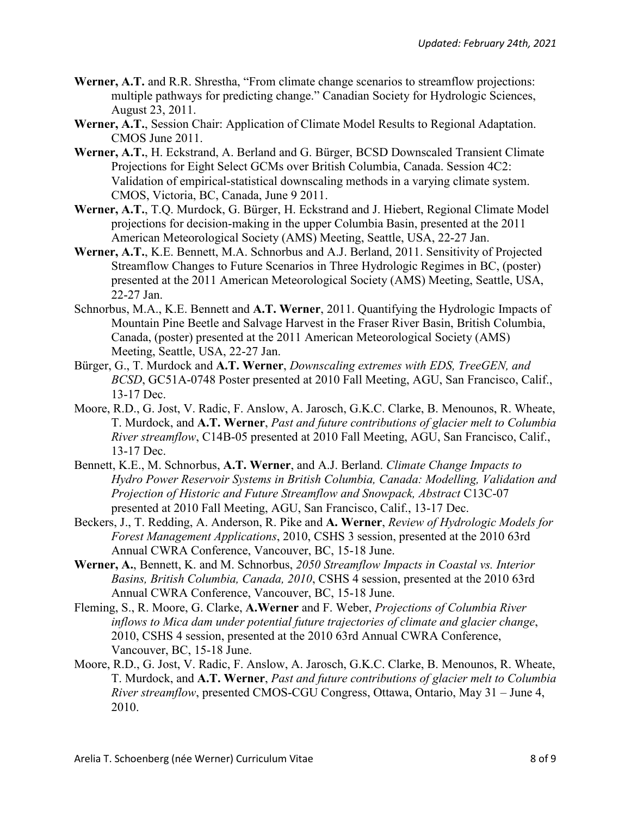- **Werner, A.T.** and R.R. Shrestha, "From climate change scenarios to streamflow projections: multiple pathways for predicting change." Canadian Society for Hydrologic Sciences, August 23, 2011.
- **Werner, A.T.**, Session Chair: Application of Climate Model Results to Regional Adaptation. CMOS June 2011.
- **Werner, A.T.**, H. Eckstrand, A. Berland and G. Bürger, BCSD Downscaled Transient Climate Projections for Eight Select GCMs over British Columbia, Canada. Session 4C2: Validation of empirical-statistical downscaling methods in a varying climate system. CMOS, Victoria, BC, Canada, June 9 2011.
- **Werner, A.T.**, T.Q. Murdock, G. Bürger, H. Eckstrand and J. Hiebert, Regional Climate Model projections for decision-making in the upper Columbia Basin, presented at the 2011 American Meteorological Society (AMS) Meeting, Seattle, USA, 22-27 Jan.
- **Werner, A.T.**, K.E. Bennett, M.A. Schnorbus and A.J. Berland, 2011. Sensitivity of Projected Streamflow Changes to Future Scenarios in Three Hydrologic Regimes in BC, (poster) presented at the 2011 American Meteorological Society (AMS) Meeting, Seattle, USA, 22-27 Jan.
- Schnorbus, M.A., K.E. Bennett and **A.T. Werner**, 2011. Quantifying the Hydrologic Impacts of Mountain Pine Beetle and Salvage Harvest in the Fraser River Basin, British Columbia, Canada, (poster) presented at the 2011 American Meteorological Society (AMS) Meeting, Seattle, USA, 22-27 Jan.
- Bürger, G., T. Murdock and **A.T. Werner**, *Downscaling extremes with EDS, TreeGEN, and BCSD*, GC51A-0748 Poster presented at 2010 Fall Meeting, AGU, San Francisco, Calif., 13-17 Dec.
- Moore, R.D., G. Jost, V. Radic, F. Anslow, A. Jarosch, G.K.C. Clarke, B. Menounos, R. Wheate, T. Murdock, and **A.T. Werner**, *Past and future contributions of glacier melt to Columbia River streamflow*, C14B-05 presented at 2010 Fall Meeting, AGU, San Francisco, Calif., 13-17 Dec.
- Bennett, K.E., M. Schnorbus, **A.T. Werner**, and A.J. Berland. *Climate Change Impacts to Hydro Power Reservoir Systems in British Columbia, Canada: Modelling, Validation and Projection of Historic and Future Streamflow and Snowpack, Abstract* C13C-07 presented at 2010 Fall Meeting, AGU, San Francisco, Calif., 13-17 Dec.
- Beckers, J., T. Redding, A. Anderson, R. Pike and **A. Werner**, *Review of Hydrologic Models for Forest Management Applications*, 2010, CSHS 3 session, presented at the 2010 63rd Annual CWRA Conference, Vancouver, BC, 15-18 June.
- **Werner, A.**, Bennett, K. and M. Schnorbus, *2050 Streamflow Impacts in Coastal vs. Interior Basins, British Columbia, Canada, 2010*, CSHS 4 session, presented at the 2010 63rd Annual CWRA Conference, Vancouver, BC, 15-18 June.
- Fleming, S., R. Moore, G. Clarke, **A.Werner** and F. Weber, *Projections of Columbia River inflows to Mica dam under potential future trajectories of climate and glacier change*, 2010, CSHS 4 session, presented at the 2010 63rd Annual CWRA Conference, Vancouver, BC, 15-18 June.
- Moore, R.D., G. Jost, V. Radic, F. Anslow, A. Jarosch, G.K.C. Clarke, B. Menounos, R. Wheate, T. Murdock, and **A.T. Werner**, *Past and future contributions of glacier melt to Columbia River streamflow*, presented CMOS-CGU Congress, Ottawa, Ontario, May 31 – June 4, 2010.